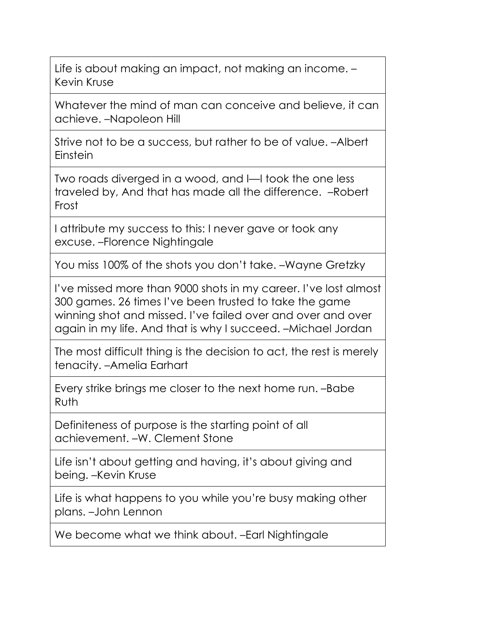Life is about making an impact, not making an income. – Kevin Kruse

Whatever the mind of man can conceive and believe, it can achieve. –Napoleon Hill

Strive not to be a success, but rather to be of value. –Albert **Einstein** 

Two roads diverged in a wood, and I—I took the one less traveled by, And that has made all the difference. –Robert Frost

I attribute my success to this: I never gave or took any excuse. –Florence Nightingale

You miss 100% of the shots you don't take. –Wayne Gretzky

I've missed more than 9000 shots in my career. I've lost almost 300 games. 26 times I've been trusted to take the game winning shot and missed. I've failed over and over and over again in my life. And that is why I succeed. –Michael Jordan

The most difficult thing is the decision to act, the rest is merely tenacity. –Amelia Earhart

Every strike brings me closer to the next home run. –Babe Ruth

Definiteness of purpose is the starting point of all achievement. –W. Clement Stone

Life isn't about getting and having, it's about giving and being. –Kevin Kruse

Life is what happens to you while you're busy making other plans. –John Lennon

We become what we think about. -Earl Nightingale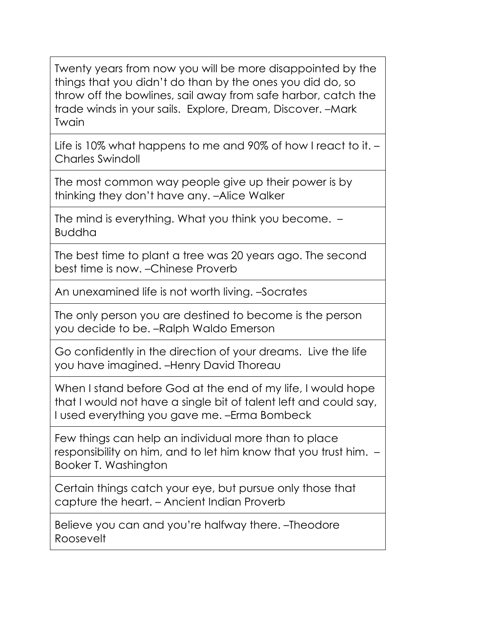Twenty years from now you will be more disappointed by the things that you didn't do than by the ones you did do, so throw off the bowlines, sail away from safe harbor, catch the trade winds in your sails. Explore, Dream, Discover. –Mark Twain

Life is 10% what happens to me and 90% of how I react to it. – Charles Swindoll

The most common way people give up their power is by thinking they don't have any. –Alice Walker

The mind is everything. What you think you become. – Buddha

The best time to plant a tree was 20 years ago. The second best time is now. –Chinese Proverb

An unexamined life is not worth living. –Socrates

The only person you are destined to become is the person you decide to be. –Ralph Waldo Emerson

Go confidently in the direction of your dreams. Live the life you have imagined. –Henry David Thoreau

When I stand before God at the end of my life, I would hope that I would not have a single bit of talent left and could say, I used everything you gave me. –Erma Bombeck

Few things can help an individual more than to place responsibility on him, and to let him know that you trust him. – Booker T. Washington

Certain things catch your eye, but pursue only those that capture the heart. – Ancient Indian Proverb

Believe you can and you're halfway there. –Theodore Roosevelt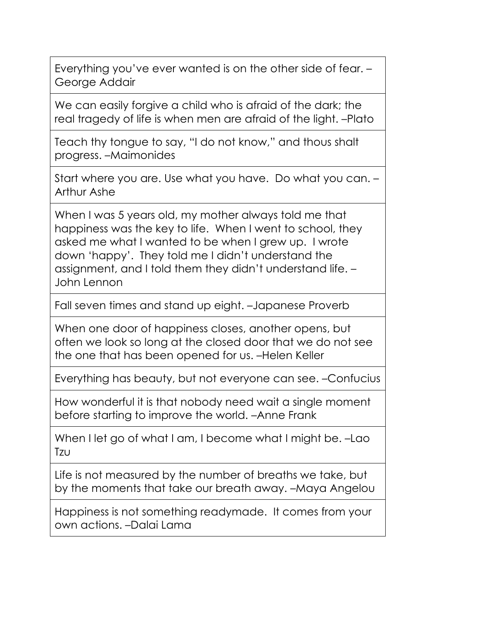Everything you've ever wanted is on the other side of fear. – George Addair

We can easily forgive a child who is afraid of the dark; the real tragedy of life is when men are afraid of the light. –Plato

Teach thy tongue to say, "I do not know," and thous shalt progress. –Maimonides

Start where you are. Use what you have. Do what you can. – Arthur Ashe

When I was 5 years old, my mother always told me that happiness was the key to life. When I went to school, they asked me what I wanted to be when I grew up. I wrote down 'happy'. They told me I didn't understand the assignment, and I told them they didn't understand life. – John Lennon

Fall seven times and stand up eight. –Japanese Proverb

When one door of happiness closes, another opens, but often we look so long at the closed door that we do not see the one that has been opened for us. –Helen Keller

Everything has beauty, but not everyone can see. –Confucius

How wonderful it is that nobody need wait a single moment before starting to improve the world. –Anne Frank

When I let go of what I am, I become what I might be.  $-\text{Lao}$ Tzu

Life is not measured by the number of breaths we take, but by the moments that take our breath away. –Maya Angelou

Happiness is not something readymade. It comes from your own actions. –Dalai Lama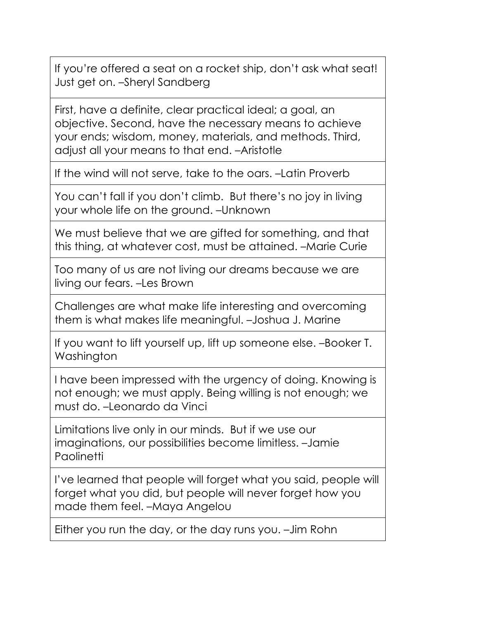If you're offered a seat on a rocket ship, don't ask what seat! Just get on. –Sheryl Sandberg

First, have a definite, clear practical ideal; a goal, an objective. Second, have the necessary means to achieve your ends; wisdom, money, materials, and methods. Third, adjust all your means to that end. –Aristotle

If the wind will not serve, take to the oars. –Latin Proverb

You can't fall if you don't climb. But there's no joy in living your whole life on the ground. –Unknown

We must believe that we are gifted for something, and that this thing, at whatever cost, must be attained. –Marie Curie

Too many of us are not living our dreams because we are living our fears. –Les Brown

Challenges are what make life interesting and overcoming them is what makes life meaningful. –Joshua J. Marine

If you want to lift yourself up, lift up someone else. –Booker T. Washington

I have been impressed with the urgency of doing. Knowing is not enough; we must apply. Being willing is not enough; we must do. –Leonardo da Vinci

Limitations live only in our minds. But if we use our imaginations, our possibilities become limitless. –Jamie **Paolinetti** 

I've learned that people will forget what you said, people will forget what you did, but people will never forget how you made them feel. –Maya Angelou

Either you run the day, or the day runs you. –Jim Rohn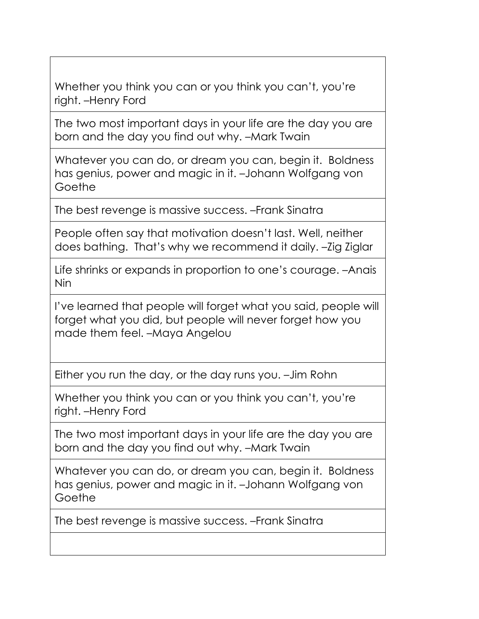Whether you think you can or you think you can't, you're right. –Henry Ford

The two most important days in your life are the day you are born and the day you find out why. –Mark Twain

Whatever you can do, or dream you can, begin it. Boldness has genius, power and magic in it. –Johann Wolfgang von Goethe

The best revenge is massive success. –Frank Sinatra

People often say that motivation doesn't last. Well, neither does bathing. That's why we recommend it daily. –Zig Ziglar

Life shrinks or expands in proportion to one's courage. –Anais Nin

I've learned that people will forget what you said, people will forget what you did, but people will never forget how you made them feel. –Maya Angelou

Either you run the day, or the day runs you. –Jim Rohn

Whether you think you can or you think you can't, you're right. –Henry Ford

The two most important days in your life are the day you are born and the day you find out why. –Mark Twain

Whatever you can do, or dream you can, begin it. Boldness has genius, power and magic in it. –Johann Wolfgang von **Goethe** 

The best revenge is massive success. –Frank Sinatra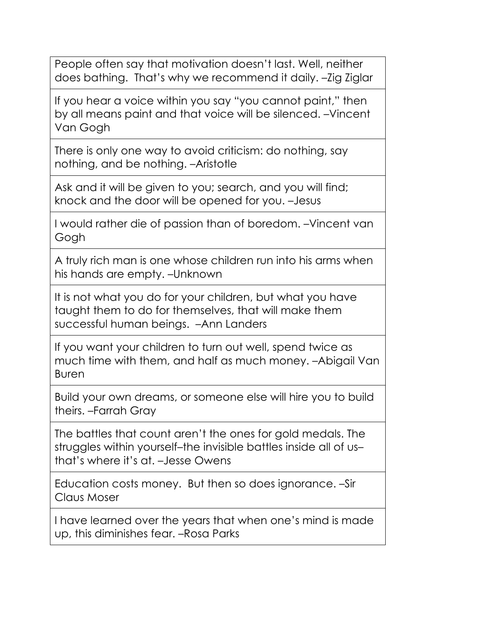People often say that motivation doesn't last. Well, neither does bathing. That's why we recommend it daily. –Zig Ziglar

If you hear a voice within you say "you cannot paint," then by all means paint and that voice will be silenced. –Vincent Van Gogh

There is only one way to avoid criticism: do nothing, say nothing, and be nothing. –Aristotle

Ask and it will be given to you; search, and you will find; knock and the door will be opened for you. –Jesus

I would rather die of passion than of boredom. –Vincent van Gogh

A truly rich man is one whose children run into his arms when his hands are empty. –Unknown

It is not what you do for your children, but what you have taught them to do for themselves, that will make them successful human beings. –Ann Landers

If you want your children to turn out well, spend twice as much time with them, and half as much money. –Abigail Van Buren

Build your own dreams, or someone else will hire you to build theirs. –Farrah Gray

The battles that count aren't the ones for gold medals. The struggles within yourself–the invisible battles inside all of us– that's where it's at. –Jesse Owens

Education costs money. But then so does ignorance. –Sir Claus Moser

I have learned over the years that when one's mind is made up, this diminishes fear. –Rosa Parks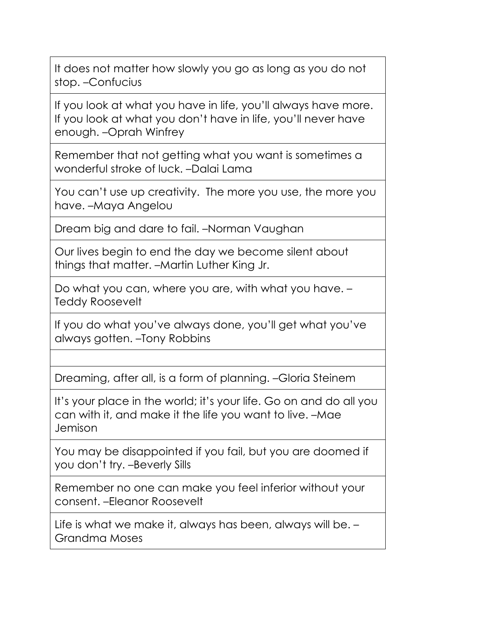It does not matter how slowly you go as long as you do not stop. –Confucius

If you look at what you have in life, you'll always have more. If you look at what you don't have in life, you'll never have enough. –Oprah Winfrey

Remember that not getting what you want is sometimes a wonderful stroke of luck. –Dalai Lama

You can't use up creativity. The more you use, the more you have. –Maya Angelou

Dream big and dare to fail. –Norman Vaughan

Our lives begin to end the day we become silent about things that matter. –Martin Luther King Jr.

Do what you can, where you are, with what you have. – Teddy Roosevelt

If you do what you've always done, you'll get what you've always gotten. –Tony Robbins

Dreaming, after all, is a form of planning. –Gloria Steinem

It's your place in the world; it's your life. Go on and do all you can with it, and make it the life you want to live. –Mae Jemison

You may be disappointed if you fail, but you are doomed if you don't try. –Beverly Sills

Remember no one can make you feel inferior without your consent. –Eleanor Roosevelt

Life is what we make it, always has been, always will be. – Grandma Moses